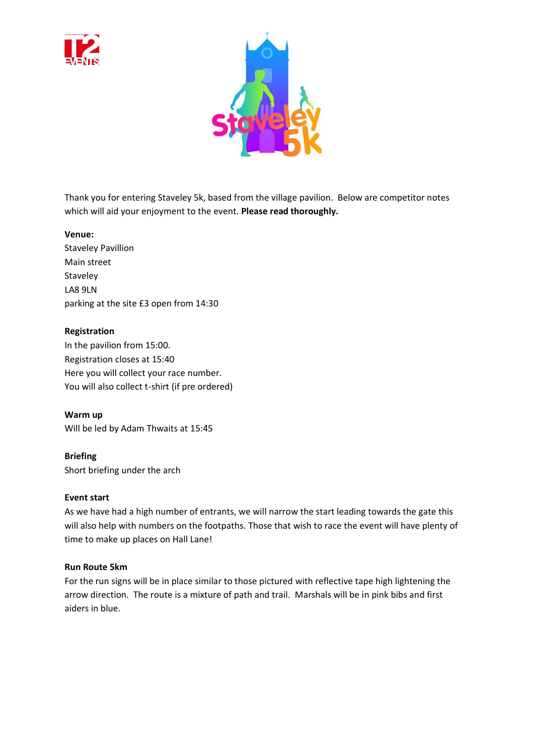



Thank you for entering Staveley 5k, based from the village pavilion. Below are competitor notes which will aid your enjoyment to the event. **Please read thoroughly.** 

## **Venue:**

Staveley Pavillion Main street Staveley LA8 9LN parking at the site £3 open from 14:30

## **Registration**

In the pavilion from 15:00. Registration closes at 15:40 Here you will collect your race number. You will also collect t-shirt (if pre ordered)

**Warm up** Will be led by Adam Thwaits at 15:45

**Briefing** Short briefing under the arch

## **Event start**

As we have had a high number of entrants, we will narrow the start leading towards the gate this will also help with numbers on the footpaths. Those that wish to race the event will have plenty of time to make up places on Hall Lane!

#### **Run Route 5km**

For the run signs will be in place similar to those pictured with reflective tape high lightening the arrow direction. The route is a mixture of path and trail. Marshals will be in pink bibs and first aiders in blue.